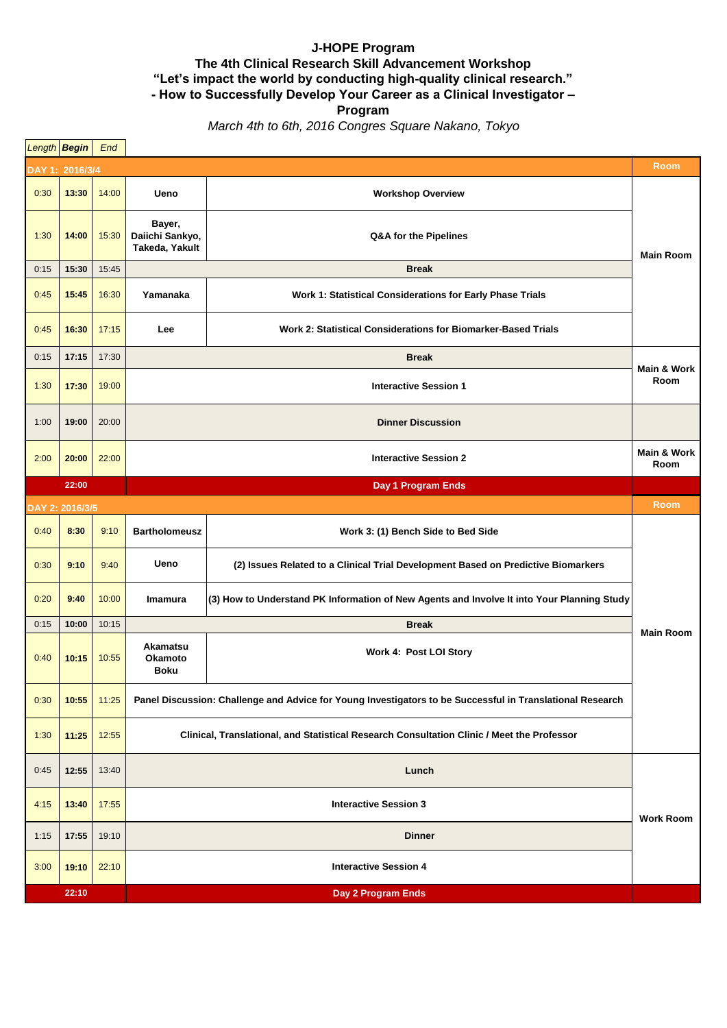## **J-HOPE Program The 4th Clinical Research Skill Advancement Workshop "Let's impact the world by conducting high-quality clinical research." - How to Successfully Develop Your Career as a Clinical Investigator –**

**Program**

*March 4th to 6th, 2016 Congres Square Nakano, Tokyo*

|      | Length <b>Begin</b> End |                    |                                                                                                           |                                                                                            |                     |  |  |  |
|------|-------------------------|--------------------|-----------------------------------------------------------------------------------------------------------|--------------------------------------------------------------------------------------------|---------------------|--|--|--|
|      | Room<br>DAY 1: 2016/3/4 |                    |                                                                                                           |                                                                                            |                     |  |  |  |
| 0:30 | 13:30                   | 14:00              | Ueno                                                                                                      | <b>Workshop Overview</b>                                                                   |                     |  |  |  |
| 1:30 | 14:00                   | 15:30              | Bayer,<br>Daiichi Sankyo,<br>Takeda, Yakult                                                               | Q&A for the Pipelines                                                                      | <b>Main Room</b>    |  |  |  |
| 0:15 | 15:30                   | 15:45              |                                                                                                           | <b>Break</b>                                                                               |                     |  |  |  |
| 0:45 | 15:45                   | 16:30              | Yamanaka                                                                                                  | Work 1: Statistical Considerations for Early Phase Trials                                  |                     |  |  |  |
| 0:45 | 16:30                   | 17:15              | Lee                                                                                                       | Work 2: Statistical Considerations for Biomarker-Based Trials                              |                     |  |  |  |
| 0:15 | 17:15                   | 17:30              | <b>Break</b>                                                                                              |                                                                                            | Main & Work<br>Room |  |  |  |
| 1:30 | 17:30                   | 19:00              | <b>Interactive Session 1</b>                                                                              |                                                                                            |                     |  |  |  |
| 1:00 | 19:00                   | 20:00              | <b>Dinner Discussion</b>                                                                                  |                                                                                            |                     |  |  |  |
| 2:00 | 20:00                   | 22:00              | <b>Interactive Session 2</b>                                                                              |                                                                                            | Main & Work<br>Room |  |  |  |
|      | 22:00                   |                    |                                                                                                           | Day 1 Program Ends                                                                         |                     |  |  |  |
|      | DAY 2: 2016/3/5         |                    |                                                                                                           |                                                                                            | <b>Room</b>         |  |  |  |
| 0:40 | 8:30                    | 9:10               | <b>Bartholomeusz</b>                                                                                      | Work 3: (1) Bench Side to Bed Side                                                         |                     |  |  |  |
| 0:30 | 9:10                    | 9:40               | Ueno                                                                                                      | (2) Issues Related to a Clinical Trial Development Based on Predictive Biomarkers          |                     |  |  |  |
| 0:20 | 9:40                    | 10:00              | Imamura                                                                                                   | (3) How to Understand PK Information of New Agents and Involve It into Your Planning Study |                     |  |  |  |
| 0:15 | 10:00                   | 10:15              | <b>Break</b>                                                                                              |                                                                                            | <b>Main Room</b>    |  |  |  |
| 0:40 | 10:15                   | 10:55              | Akamatsu<br>Okamoto<br>Boku                                                                               | Work 4: Post LOI Story                                                                     |                     |  |  |  |
| 0:30 | 10:55                   | 11:25              | Panel Discussion: Challenge and Advice for Young Investigators to be Successful in Translational Research |                                                                                            |                     |  |  |  |
| 1:30 | 11:25                   | 12:55              | Clinical, Translational, and Statistical Research Consultation Clinic / Meet the Professor                |                                                                                            |                     |  |  |  |
| 0:45 | 12:55                   | 13:40              | Lunch                                                                                                     |                                                                                            |                     |  |  |  |
| 4:15 | 13:40                   | 17:55              | <b>Interactive Session 3</b><br><b>Work Room</b>                                                          |                                                                                            |                     |  |  |  |
| 1:15 | 17:55                   | 19:10              | <b>Dinner</b>                                                                                             |                                                                                            |                     |  |  |  |
| 3:00 | 19:10                   | 22:10              | <b>Interactive Session 4</b>                                                                              |                                                                                            |                     |  |  |  |
|      | 22:10                   | Day 2 Program Ends |                                                                                                           |                                                                                            |                     |  |  |  |